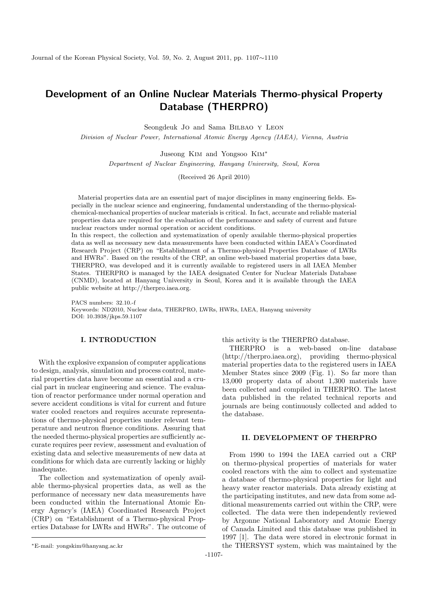# Development of an Online Nuclear Materials Thermo-physical Property Database (THERPRO)

Seongdeuk Jo and Sama Bilbao y Leon

Division of Nuclear Power, International Atomic Energy Agency (IAEA), Vienna, Austria

Juseong Kim and Yongsoo Kim<sup>∗</sup>

Department of Nuclear Engineering, Hanyang University, Seoul, Korea

(Received 26 April 2010)

Material properties data are an essential part of major disciplines in many engineering fields. Especially in the nuclear science and engineering, fundamental understanding of the thermo-physicalchemical-mechanical properties of nuclear materials is critical. In fact, accurate and reliable material properties data are required for the evaluation of the performance and safety of current and future nuclear reactors under normal operation or accident conditions.

In this respect, the collection and systematization of openly available thermo-physical properties data as well as necessary new data measurements have been conducted within IAEA's Coordinated Research Project (CRP) on "Establishment of a Thermo-physical Properties Database of LWRs and HWRs". Based on the results of the CRP, an online web-based material properties data base, THERPRO, was developed and it is currently available to registered users in all IAEA Member States. THERPRO is managed by the IAEA designated Center for Nuclear Materials Database (CNMD), located at Hanyang University in Seoul, Korea and it is available through the IAEA public website at http://therpro.iaea.org.

PACS numbers: 32.10.-f Keywords: ND2010, Nuclear data, THERPRO, LWRs, HWRs, IAEA, Hanyang university DOI: 10.3938/jkps.59.1107

## I. INTRODUCTION

With the explosive expansion of computer applications to design, analysis, simulation and process control, material properties data have become an essential and a crucial part in nuclear engineering and science. The evaluation of reactor performance under normal operation and severe accident conditions is vital for current and future water cooled reactors and requires accurate representations of thermo-physical properties under relevant temperature and neutron fluence conditions. Assuring that the needed thermo-physical properties are sufficiently accurate requires peer review, assessment and evaluation of existing data and selective measurements of new data at conditions for which data are currently lacking or highly inadequate.

The collection and systematization of openly available thermo-physical properties data, as well as the performance of necessary new data measurements have been conducted within the International Atomic Energy Agency's (IAEA) Coordinated Research Project (CRP) on "Establishment of a Thermo-physical Properties Database for LWRs and HWRs". The outcome of this activity is the THERPRO database.

THERPRO is a web-based on-line database (http://therpro.iaea.org), providing thermo-physical material properties data to the registered users in IAEA Member States since 2009 (Fig. 1). So far more than 13,000 property data of about 1,300 materials have been collected and compiled in THERPRO. The latest data published in the related technical reports and journals are being continuously collected and added to the database.

## II. DEVELOPMENT OF THERPRO

From 1990 to 1994 the IAEA carried out a CRP on thermo-physical properties of materials for water cooled reactors with the aim to collect and systematize a database of thermo-physical properties for light and heavy water reactor materials. Data already existing at the participating institutes, and new data from some additional measurements carried out within the CRP, were collected. The data were then independently reviewed by Argonne National Laboratory and Atomic Energy of Canada Limited and this database was published in 1997 [1]. The data were stored in electronic format in the THERSYST system, which was maintained by the

<sup>∗</sup>E-mail: yongskim@hanyang.ac.kr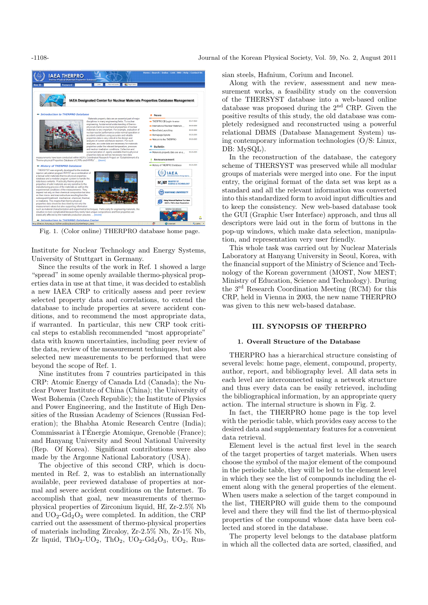

Fig. 1. (Color online) THERPRO database home page.

Institute for Nuclear Technology and Energy Systems, University of Stuttgart in Germany.

Since the results of the work in Ref. 1 showed a large "spread" in some openly available thermo-physical properties data in use at that time, it was decided to establish a new IAEA CRP to critically assess and peer review selected property data and correlations, to extend the database to include properties at severe accident conditions, and to recommend the most appropriate data, if warranted. In particular, this new CRP took critical steps to establish recommended "most appropriate" data with known uncertainties, including peer review of the data, review of the measurement techniques, but also selected new measurements to be performed that were beyond the scope of Ref. 1.

Nine institutes from 7 countries participated in this CRP: Atomic Energy of Canada Ltd (Canada); the Nuclear Power Institute of China (China); the University of West Bohemia (Czech Republic); the Institute of Physics and Power Engineering, and the Institute of High Densities of the Russian Academy of Sciences (Russian Federation); the Bhabha Atomic Research Centre (India); Commissariat à l'Énergie Atomique, Grenoble (France); and Hanyang University and Seoul National University (Rep. Of Korea). Significant contributions were also made by the Argonne National Laboratory (USA).

The objective of this second CRP, which is documented in Ref. 2, was to establish an internationally available, peer reviewed database of properties at normal and severe accident conditions on the Internet. To accomplish that goal, new measurements of thermophysical properties of Zirconium liquid, Hf, Zr-2.5% Nb and  $UO_2-Gd_2O_3$  were completed. In addition, the CRP carried out the assessment of thermo-physical properties of materials including Zircaloy, Zr-2.5% Nb, Zr-1% Nb, Zr liquid, ThO<sub>2</sub>-UO<sub>2</sub>, ThO<sub>2</sub>, UO<sub>2</sub>-Gd<sub>2</sub>O<sub>3</sub>, UO<sub>2</sub>, Russian steels, Hafnium, Corium and Inconel.

Along with the review, assessment and new measurement works, a feasibility study on the conversion of the THERSYST database into a web-based online database was proposed during the 2nd CRP. Given the positive results of this study, the old database was completely redesigned and reconstructed using a powerful relational DBMS (Database Management System) using contemporary information technologies (O/S: Linux, DB: MySQL).

In the reconstruction of the database, the category scheme of THERSYST was preserved while all modular groups of materials were merged into one. For the input entry, the original format of the data set was kept as a standard and all the relevant information was converted into this standardized form to avoid input difficulties and to keep the consistency. New web-based database took the GUI (Graphic User Interface) approach, and thus all descriptors were laid out in the form of buttons in the pop-up windows, which make data selection, manipulation, and representation very user friendly.

This whole task was carried out by Nuclear Materials Laboratory at Hanyang University in Seoul, Korea, with the financial support of the Ministry of Science and Technology of the Korean government (MOST, Now MEST; Ministry of Education, Science and Technology). During the 3rd Research Coordination Meeting (RCM) for this CRP, held in Vienna in 2003, the new name THERPRO was given to this new web-based database.

#### III. SYNOPSIS OF THERPRO

### 1. Overall Structure of the Database

THERPRO has a hierarchical structure consisting of several levels: home page, element, compound, property, author, report, and bibliography level. All data sets in each level are interconnected using a network structure and thus every data can be easily retrieved, including the bibliographical information, by an appropriate query action. The internal structure is shown in Fig. 2.

In fact, the THERPRO home page is the top level with the periodic table, which provides easy access to the desired data and supplementary features for a convenient data retrieval.

Element level is the actual first level in the search of the target properties of target materials. When users choose the symbol of the major element of the compound in the periodic table, they will be led to the element level in which they see the list of compounds including the element along with the general properties of the element. When users make a selection of the target compound in the list, THERPRO will guide them to the compound level and there they will find the list of thermo-physical properties of the compound whose data have been collected and stored in the database.

The property level belongs to the database platform in which all the collected data are sorted, classified, and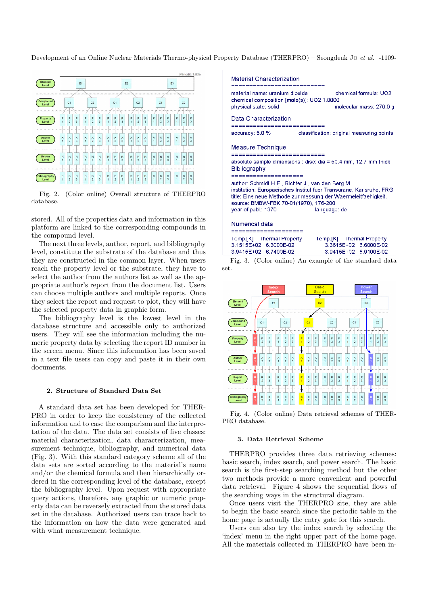Development of an Online Nuclear Materials Thermo-physical Property Database (THERPRO) – Seongdeuk Jo et al. -1109-



Fig. 2. (Color online) Overall structure of THERPRO database.

stored. All of the properties data and information in this platform are linked to the corresponding compounds in the compound level.

The next three levels, author, report, and bibliography level, constitute the substrate of the database and thus they are constructed in the common layer. When users reach the property level or the substrate, they have to select the author from the authors list as well as the appropriate author's report from the document list. Users can choose multiple authors and multiple reports. Once they select the report and request to plot, they will have the selected property data in graphic form.

The bibliography level is the lowest level in the database structure and accessible only to authorized users. They will see the information including the numeric property data by selecting the report ID number in the screen menu. Since this information has been saved in a text file users can copy and paste it in their own documents.

#### 2. Structure of Standard Data Set

A standard data set has been developed for THER-PRO in order to keep the consistency of the collected information and to ease the comparison and the interpretation of the data. The data set consists of five classes: material characterization, data characterization, measurement technique, bibliography, and numerical data (Fig. 3). With this standard category scheme all of the data sets are sorted according to the material's name and/or the chemical formula and then hierarchically ordered in the corresponding level of the database, except the bibliography level. Upon request with appropriate query actions, therefore, any graphic or numeric property data can be reversely extracted from the stored data set in the database. Authorized users can trace back to the information on how the data were generated and with what measurement technique.



Fig. 3. (Color online) An example of the standard data set.



Fig. 4. (Color online) Data retrieval schemes of THER-PRO database.

#### 3. Data Retrieval Scheme

THERPRO provides three data retrieving schemes: basic search, index search, and power search. The basic search is the first-step searching method but the other two methods provide a more convenient and powerful data retrieval. Figure 4 shows the sequential flows of the searching ways in the structural diagram.

Once users visit the THERPRO site, they are able to begin the basic search since the periodic table in the home page is actually the entry gate for this search.

Users can also try the index search by selecting the 'index' menu in the right upper part of the home page. All the materials collected in THERPRO have been in